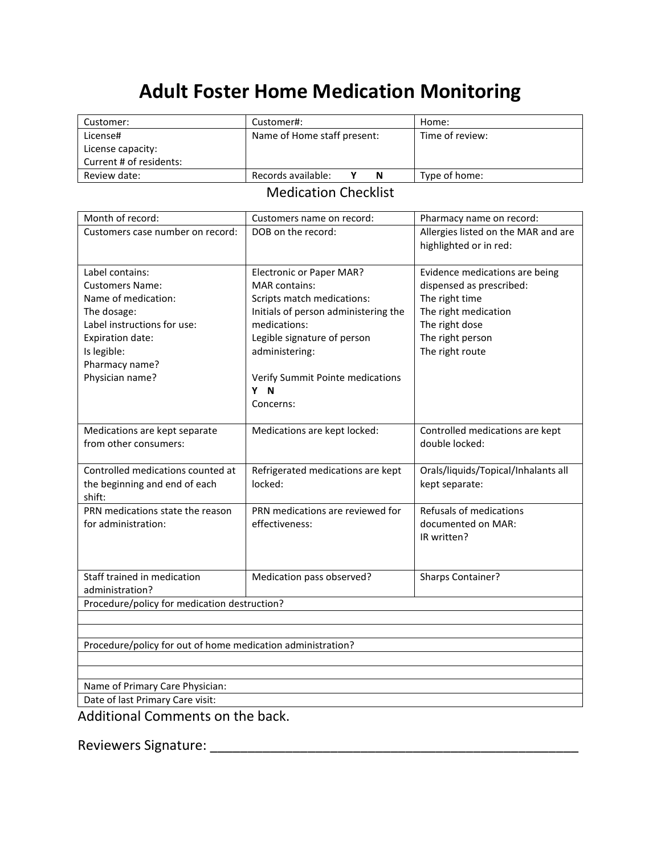## **Adult Foster Home Medication Monitoring**

| Customer:               | Customer#:                  | Home:           |
|-------------------------|-----------------------------|-----------------|
| License#                | Name of Home staff present: | Time of review: |
| License capacity:       |                             |                 |
| Current # of residents: |                             |                 |
| Review date:            | Records available:<br>N     | Type of home:   |

## Medication Checklist

| Month of record:                                            | Customers name on record:                               | Pharmacy name on record:                                   |  |  |
|-------------------------------------------------------------|---------------------------------------------------------|------------------------------------------------------------|--|--|
| Customers case number on record:                            | DOB on the record:                                      | Allergies listed on the MAR and are                        |  |  |
|                                                             |                                                         | highlighted or in red:                                     |  |  |
| Label contains:                                             |                                                         |                                                            |  |  |
| <b>Customers Name:</b>                                      | <b>Electronic or Paper MAR?</b><br><b>MAR</b> contains: | Evidence medications are being<br>dispensed as prescribed: |  |  |
| Name of medication:                                         | Scripts match medications:                              | The right time                                             |  |  |
| The dosage:                                                 | Initials of person administering the                    | The right medication                                       |  |  |
| Label instructions for use:                                 | medications:                                            |                                                            |  |  |
| Expiration date:                                            |                                                         | The right dose                                             |  |  |
|                                                             | Legible signature of person                             | The right person                                           |  |  |
| Is legible:<br>Pharmacy name?                               | administering:                                          | The right route                                            |  |  |
|                                                             |                                                         |                                                            |  |  |
| Physician name?                                             | Verify Summit Pointe medications<br>Y N                 |                                                            |  |  |
|                                                             | Concerns:                                               |                                                            |  |  |
|                                                             |                                                         |                                                            |  |  |
| Medications are kept separate                               | Medications are kept locked:                            | Controlled medications are kept                            |  |  |
| from other consumers:                                       |                                                         | double locked:                                             |  |  |
|                                                             |                                                         |                                                            |  |  |
| Controlled medications counted at                           | Refrigerated medications are kept                       | Orals/liquids/Topical/Inhalants all                        |  |  |
| the beginning and end of each                               | locked:                                                 | kept separate:                                             |  |  |
| shift:                                                      |                                                         |                                                            |  |  |
| PRN medications state the reason                            | PRN medications are reviewed for                        | Refusals of medications                                    |  |  |
| for administration:                                         | effectiveness:                                          | documented on MAR:                                         |  |  |
|                                                             |                                                         | IR written?                                                |  |  |
|                                                             |                                                         |                                                            |  |  |
|                                                             |                                                         |                                                            |  |  |
| Staff trained in medication                                 | Medication pass observed?                               | Sharps Container?                                          |  |  |
| administration?                                             |                                                         |                                                            |  |  |
| Procedure/policy for medication destruction?                |                                                         |                                                            |  |  |
|                                                             |                                                         |                                                            |  |  |
| Procedure/policy for out of home medication administration? |                                                         |                                                            |  |  |
|                                                             |                                                         |                                                            |  |  |
|                                                             |                                                         |                                                            |  |  |
| Name of Primary Care Physician:                             |                                                         |                                                            |  |  |
| Date of last Primary Care visit:                            |                                                         |                                                            |  |  |
| Additional Comments on the hask                             |                                                         |                                                            |  |  |

Additional Comments on the back.

Reviewers Signature: \_\_\_\_\_\_\_\_\_\_\_\_\_\_\_\_\_\_\_\_\_\_\_\_\_\_\_\_\_\_\_\_\_\_\_\_\_\_\_\_\_\_\_\_\_\_\_\_\_